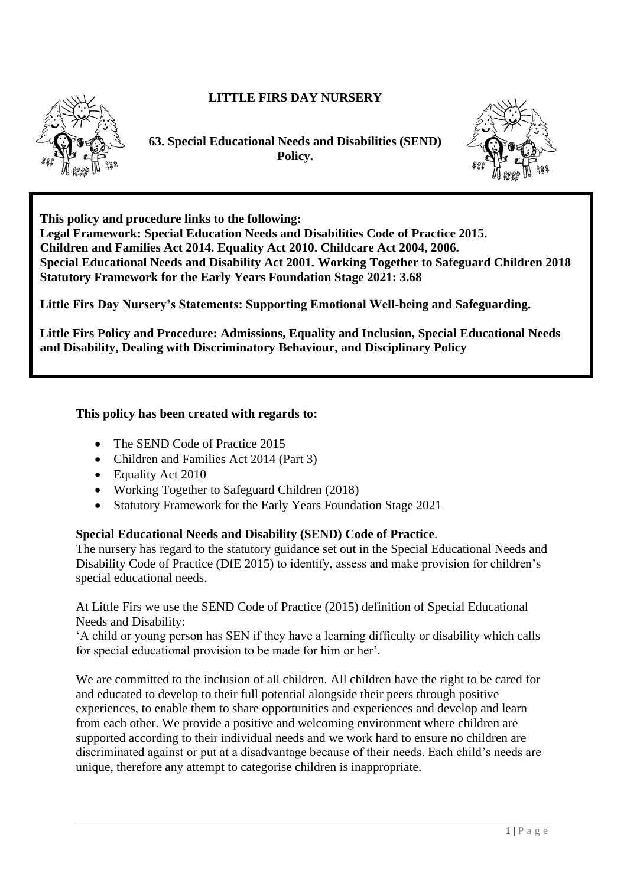# **LITTLE FIRS DAY NURSERY**



**63. Special Educational Needs and Disabilities (SEND) Policy.**



**This policy and procedure links to the following:** 

**Legal Framework: Special Education Needs and Disabilities Code of Practice 2015. Children and Families Act 2014. Equality Act 2010. Childcare Act 2004, 2006. Special Educational Needs and Disability Act 2001. Working Together to Safeguard Children 2018 Statutory Framework for the Early Years Foundation Stage 2021: 3.68**

**Little Firs Day Nursery's Statements: Supporting Emotional Well-being and Safeguarding.**

**Little Firs Policy and Procedure: Admissions, Equality and Inclusion, Special Educational Needs and Disability, Dealing with Discriminatory Behaviour, and Disciplinary Policy**

# **This policy has been created with regards to:**

- The SEND Code of Practice 2015
- Children and Families Act 2014 (Part 3)
- Equality Act 2010
- Working Together to Safeguard Children (2018)
- Statutory Framework for the Early Years Foundation Stage 2021

# **Special Educational Needs and Disability (SEND) Code of Practice**.

The nursery has regard to the statutory guidance set out in the Special Educational Needs and Disability Code of Practice (DfE 2015) to identify, assess and make provision for children's special educational needs.

At Little Firs we use the SEND Code of Practice (2015) definition of Special Educational Needs and Disability:

'A child or young person has SEN if they have a learning difficulty or disability which calls for special educational provision to be made for him or her'.

We are committed to the inclusion of all children. All children have the right to be cared for and educated to develop to their full potential alongside their peers through positive experiences, to enable them to share opportunities and experiences and develop and learn from each other. We provide a positive and welcoming environment where children are supported according to their individual needs and we work hard to ensure no children are discriminated against or put at a disadvantage because of their needs. Each child's needs are unique, therefore any attempt to categorise children is inappropriate.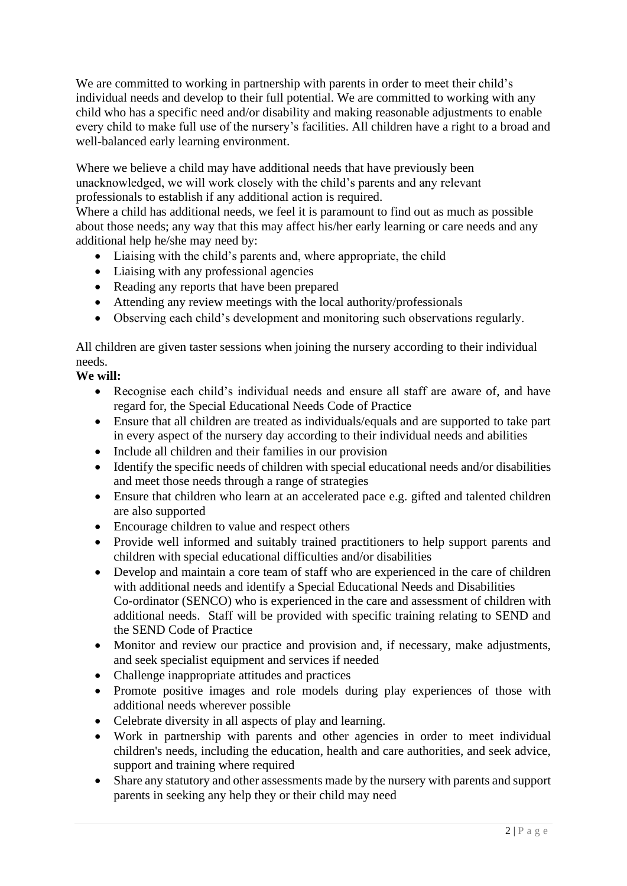We are committed to working in partnership with parents in order to meet their child's individual needs and develop to their full potential. We are committed to working with any child who has a specific need and/or disability and making reasonable adjustments to enable every child to make full use of the nursery's facilities. All children have a right to a broad and well-balanced early learning environment.

Where we believe a child may have additional needs that have previously been unacknowledged, we will work closely with the child's parents and any relevant professionals to establish if any additional action is required.

Where a child has additional needs, we feel it is paramount to find out as much as possible about those needs; any way that this may affect his/her early learning or care needs and any additional help he/she may need by:

- Liaising with the child's parents and, where appropriate, the child
- Liaising with any professional agencies
- Reading any reports that have been prepared
- Attending any review meetings with the local authority/professionals
- Observing each child's development and monitoring such observations regularly.

All children are given taster sessions when joining the nursery according to their individual needs.

# **We will:**

- Recognise each child's individual needs and ensure all staff are aware of, and have regard for, the Special Educational Needs Code of Practice
- Ensure that all children are treated as individuals/equals and are supported to take part in every aspect of the nursery day according to their individual needs and abilities
- Include all children and their families in our provision
- Identify the specific needs of children with special educational needs and/or disabilities and meet those needs through a range of strategies
- Ensure that children who learn at an accelerated pace e.g. gifted and talented children are also supported
- Encourage children to value and respect others
- Provide well informed and suitably trained practitioners to help support parents and children with special educational difficulties and/or disabilities
- Develop and maintain a core team of staff who are experienced in the care of children with additional needs and identify a Special Educational Needs and Disabilities Co-ordinator (SENCO) who is experienced in the care and assessment of children with additional needs. Staff will be provided with specific training relating to SEND and the SEND Code of Practice
- Monitor and review our practice and provision and, if necessary, make adjustments, and seek specialist equipment and services if needed
- Challenge inappropriate attitudes and practices
- Promote positive images and role models during play experiences of those with additional needs wherever possible
- Celebrate diversity in all aspects of play and learning.
- Work in partnership with parents and other agencies in order to meet individual children's needs, including the education, health and care authorities, and seek advice, support and training where required
- Share any statutory and other assessments made by the nursery with parents and support parents in seeking any help they or their child may need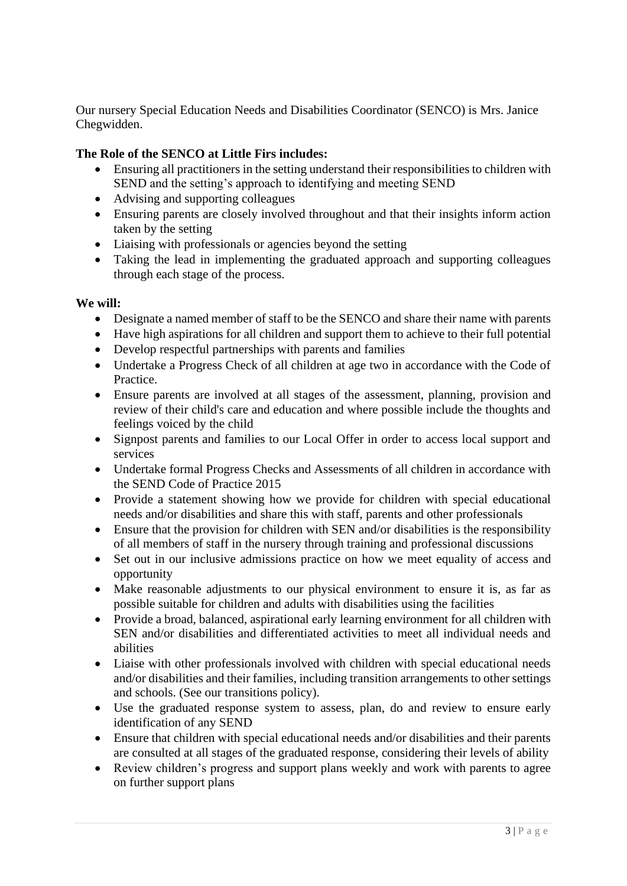Our nursery Special Education Needs and Disabilities Coordinator (SENCO) is Mrs. Janice Chegwidden.

# **The Role of the SENCO at Little Firs includes:**

- Ensuring all practitioners in the setting understand their responsibilities to children with SEND and the setting's approach to identifying and meeting SEND
- Advising and supporting colleagues
- Ensuring parents are closely involved throughout and that their insights inform action taken by the setting
- Liaising with professionals or agencies beyond the setting
- Taking the lead in implementing the graduated approach and supporting colleagues through each stage of the process.

#### **We will:**

- Designate a named member of staff to be the SENCO and share their name with parents
- Have high aspirations for all children and support them to achieve to their full potential
- Develop respectful partnerships with parents and families
- Undertake a Progress Check of all children at age two in accordance with the Code of **Practice**
- Ensure parents are involved at all stages of the assessment, planning, provision and review of their child's care and education and where possible include the thoughts and feelings voiced by the child
- Signpost parents and families to our Local Offer in order to access local support and services
- Undertake formal Progress Checks and Assessments of all children in accordance with the SEND Code of Practice 2015
- Provide a statement showing how we provide for children with special educational needs and/or disabilities and share this with staff, parents and other professionals
- Ensure that the provision for children with SEN and/or disabilities is the responsibility of all members of staff in the nursery through training and professional discussions
- Set out in our inclusive admissions practice on how we meet equality of access and opportunity
- Make reasonable adjustments to our physical environment to ensure it is, as far as possible suitable for children and adults with disabilities using the facilities
- Provide a broad, balanced, aspirational early learning environment for all children with SEN and/or disabilities and differentiated activities to meet all individual needs and abilities
- Liaise with other professionals involved with children with special educational needs and/or disabilities and their families, including transition arrangements to other settings and schools. (See our transitions policy).
- Use the graduated response system to assess, plan, do and review to ensure early identification of any SEND
- Ensure that children with special educational needs and/or disabilities and their parents are consulted at all stages of the graduated response, considering their levels of ability
- Review children's progress and support plans weekly and work with parents to agree on further support plans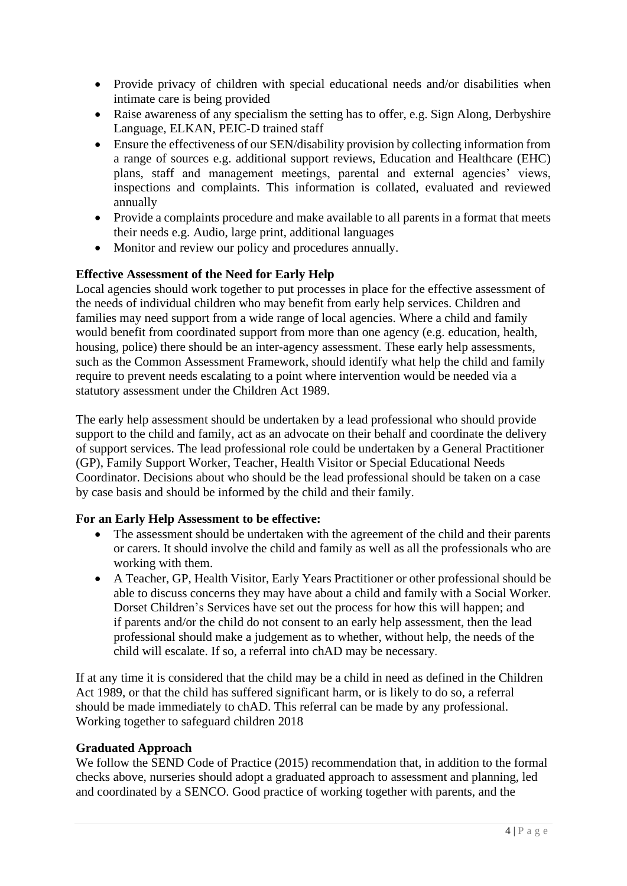- Provide privacy of children with special educational needs and/or disabilities when intimate care is being provided
- Raise awareness of any specialism the setting has to offer, e.g. Sign Along, Derbyshire Language, ELKAN, PEIC-D trained staff
- Ensure the effectiveness of our SEN/disability provision by collecting information from a range of sources e.g. additional support reviews, Education and Healthcare (EHC) plans, staff and management meetings, parental and external agencies' views, inspections and complaints. This information is collated, evaluated and reviewed annually
- Provide a complaints procedure and make available to all parents in a format that meets their needs e.g. Audio, large print, additional languages
- Monitor and review our policy and procedures annually.

# **Effective Assessment of the Need for Early Help**

Local agencies should work together to put processes in place for the effective assessment of the needs of individual children who may benefit from early help services. Children and families may need support from a wide range of local agencies. Where a child and family would benefit from coordinated support from more than one agency (e.g. education, health, housing, police) there should be an inter-agency assessment. These early help assessments, such as the Common Assessment Framework, should identify what help the child and family require to prevent needs escalating to a point where intervention would be needed via a statutory assessment under the Children Act 1989.

The early help assessment should be undertaken by a lead professional who should provide support to the child and family, act as an advocate on their behalf and coordinate the delivery of support services. The lead professional role could be undertaken by a General Practitioner (GP), Family Support Worker, Teacher, Health Visitor or Special Educational Needs Coordinator. Decisions about who should be the lead professional should be taken on a case by case basis and should be informed by the child and their family.

# **For an Early Help Assessment to be effective:**

- The assessment should be undertaken with the agreement of the child and their parents or carers. It should involve the child and family as well as all the professionals who are working with them.
- A Teacher, GP, Health Visitor, Early Years Practitioner or other professional should be able to discuss concerns they may have about a child and family with a Social Worker. Dorset Children's Services have set out the process for how this will happen; and if parents and/or the child do not consent to an early help assessment, then the lead professional should make a judgement as to whether, without help, the needs of the child will escalate. If so, a referral into chAD may be necessary.

If at any time it is considered that the child may be a child in need as defined in the Children Act 1989, or that the child has suffered significant harm, or is likely to do so, a referral should be made immediately to chAD. This referral can be made by any professional. Working together to safeguard children 2018

# **Graduated Approach**

We follow the SEND Code of Practice (2015) recommendation that, in addition to the formal checks above, nurseries should adopt a graduated approach to assessment and planning, led and coordinated by a SENCO. Good practice of working together with parents, and the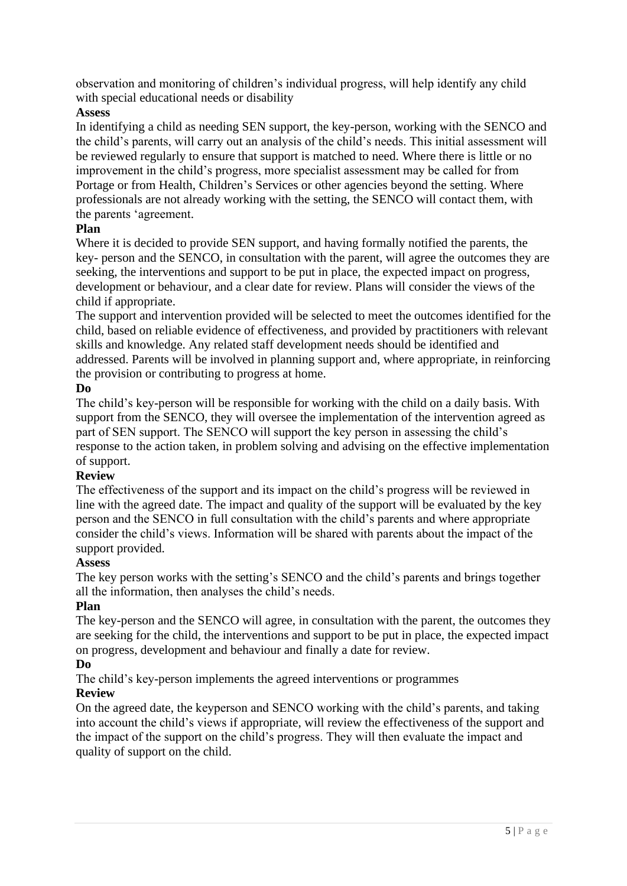observation and monitoring of children's individual progress, will help identify any child with special educational needs or disability

# **Assess**

In identifying a child as needing SEN support, the key-person, working with the SENCO and the child's parents, will carry out an analysis of the child's needs. This initial assessment will be reviewed regularly to ensure that support is matched to need. Where there is little or no improvement in the child's progress, more specialist assessment may be called for from Portage or from Health, Children's Services or other agencies beyond the setting. Where professionals are not already working with the setting, the SENCO will contact them, with the parents 'agreement.

# **Plan**

Where it is decided to provide SEN support, and having formally notified the parents, the key- person and the SENCO, in consultation with the parent, will agree the outcomes they are seeking, the interventions and support to be put in place, the expected impact on progress, development or behaviour, and a clear date for review. Plans will consider the views of the child if appropriate.

The support and intervention provided will be selected to meet the outcomes identified for the child, based on reliable evidence of effectiveness, and provided by practitioners with relevant skills and knowledge. Any related staff development needs should be identified and addressed. Parents will be involved in planning support and, where appropriate, in reinforcing the provision or contributing to progress at home.

# **Do**

The child's key-person will be responsible for working with the child on a daily basis. With support from the SENCO, they will oversee the implementation of the intervention agreed as part of SEN support. The SENCO will support the key person in assessing the child's response to the action taken, in problem solving and advising on the effective implementation of support.

# **Review**

The effectiveness of the support and its impact on the child's progress will be reviewed in line with the agreed date. The impact and quality of the support will be evaluated by the key person and the SENCO in full consultation with the child's parents and where appropriate consider the child's views. Information will be shared with parents about the impact of the support provided.

# **Assess**

The key person works with the setting's SENCO and the child's parents and brings together all the information, then analyses the child's needs.

# **Plan**

The key-person and the SENCO will agree, in consultation with the parent, the outcomes they are seeking for the child, the interventions and support to be put in place, the expected impact on progress, development and behaviour and finally a date for review.

# **Do**

The child's key-person implements the agreed interventions or programmes **Review** 

On the agreed date, the keyperson and SENCO working with the child's parents, and taking into account the child's views if appropriate, will review the effectiveness of the support and the impact of the support on the child's progress. They will then evaluate the impact and quality of support on the child.